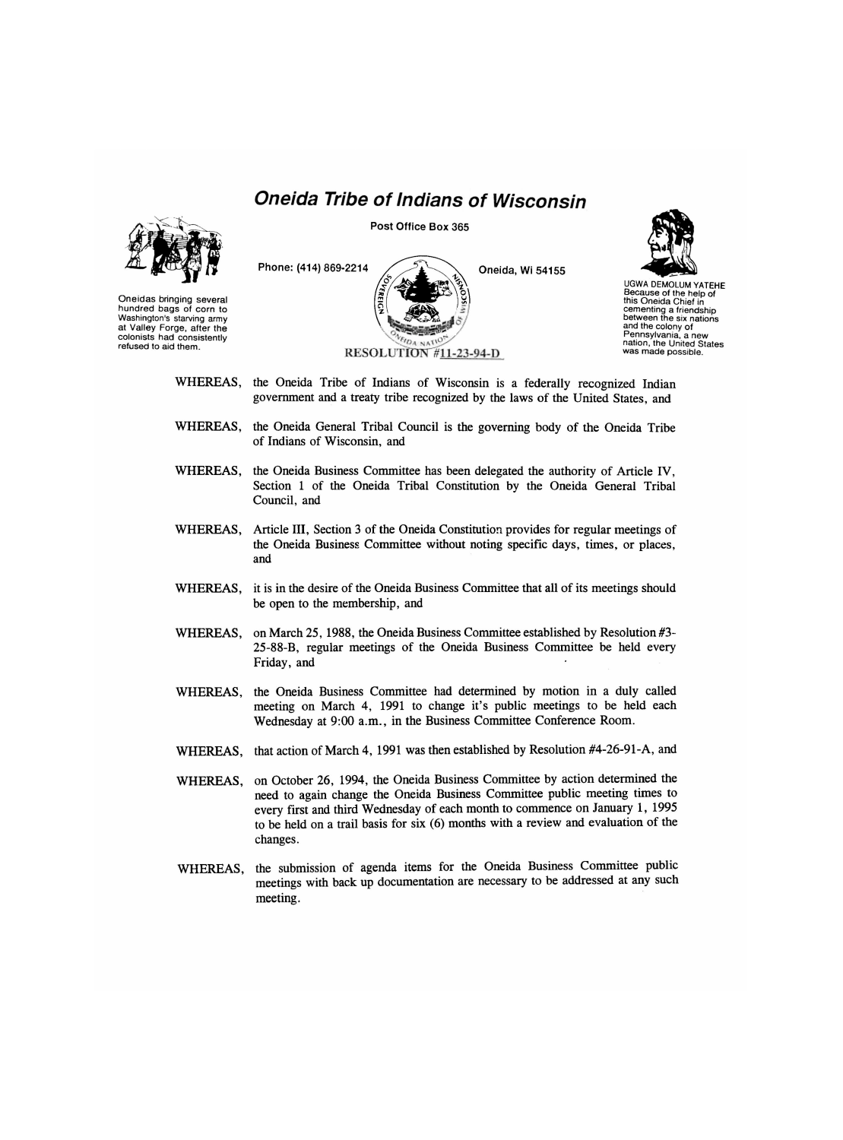## *Oneida Tribe of Indians of Wisconsin*



**Post Office Box 365** 





UGWA DEM0LUM YATEHE Because of the help of this Oneida Chief in cementing a friendship between the six nations and the colony of Pennsylvania, a new nation, the United States was made possible.

- WHEREAS, the Oneida Tribe of Indians of Wisconsin is a federally recognized Indian government and a treaty tribe recognized by the laws of the United States, and
- WHEREAS, the Oneida General Tribal Council is the governing body of the Oneida Tribe of Indians of Wisconsin, and
- WHEREAS, the Oneida Business Committee has been delegated the authority of Article IV, Section 1 of the Oneida Tribal Constitution by the Oneida General Tribal Council, and
- WHEREAS, Article III, Section 3 of the Oneida Constitution provides for regular meetings of the Oneida Business Committee without noting specific days, times, or places, and
- WHEREAS, it is in the desire of the Oneida Business Committee that all of its meetings should be open to the membership, and
- WHEREAS, on March 25, 1988, the Oneida Business Committee established by Resolution #3-25-88-B, regular meetings of the Oneida Business Committee be held every Friday, and
- WHEREAS, the Oneida Business Committee had determined by motion in a duly called meeting on March 4, 1991 to change it's public meetings to be held each Wednesday at 9:00 a.m., in the Business Committee Conference Room.
- WHEREAS, that action of March 4, 1991 was then established by Resolution #4-26-91-A, and
- WHEREAS, on October 26, 1994, the Oneida Business Committee by action determined the need to again change the Oneida Business Committee public meeting times to every first and third Wednesday of each month to commence on January 1, 1995 to be held on a trail basis for six (6) months with a review and evaluation of the changes.
- WHEREAS, the submission of agenda items for the Oneida Business Committee public meetings with back up documentation are necessary to be addressed at any such meeting.

Oneidas bringing several hundred bags of corn to Washington's starving army at Valley Forge, after the colonists had consistently refused to aid them.